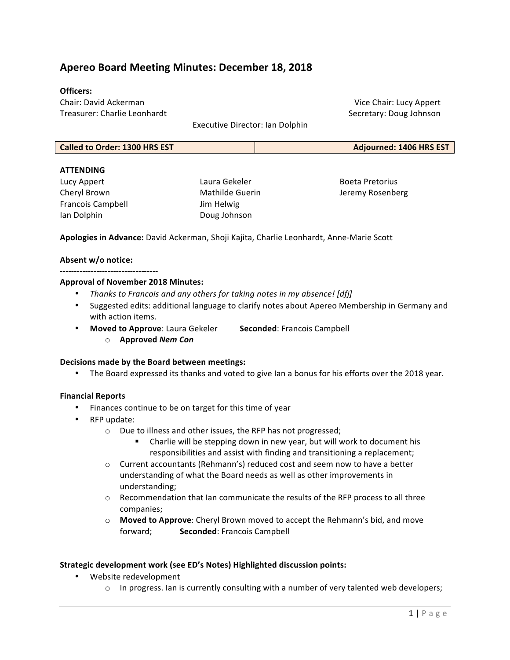## **Apereo Board Meeting Minutes: December 18, 2018**

#### **Officers:**

Chair: David Ackerman Treasurer: Charlie Leonhardt 

Vice Chair: Lucy Appert Secretary: Doug Johnson

Executive Director: Ian Dolphin

| <b>Called to Order: 1300 HRS EST</b> | Adjourned: 1406 HRS EST |
|--------------------------------------|-------------------------|
|--------------------------------------|-------------------------|

#### **ATTENDING**

Lucy Appert Cheryl Brown Francois Campbell Ian Dolphin

Laura Gekeler Mathilde Guerin Jim Helwig Doug Johnson 

Boeta Pretorius Jeremy Rosenberg

Apologies in Advance: David Ackerman, Shoji Kajita, Charlie Leonhardt, Anne-Marie Scott

#### Absent w/o notice:

**-----------------------------------**

#### **Approval of November 2018 Minutes:**

- *Thanks to Francois and any others for taking notes in my absence!* [dfj]
- Suggested edits: additional language to clarify notes about Apereo Membership in Germany and with action items.
- **Moved to Approve: Laura Gekeler Seconded: Francois Campbell <b>by** 
	- o **Approved** *Nem Con*

#### **Decisions made by the Board between meetings:**

• The Board expressed its thanks and voted to give Ian a bonus for his efforts over the 2018 year.

#### **Financial Reports**

- Finances continue to be on target for this time of year
- RFP update:
	- o Due to illness and other issues, the RFP has not progressed;
		- Charlie will be stepping down in new year, but will work to document his responsibilities and assist with finding and transitioning a replacement;
	- $\circ$  Current accountants (Rehmann's) reduced cost and seem now to have a better understanding of what the Board needs as well as other improvements in understanding;
	- $\circ$  Recommendation that Ian communicate the results of the RFP process to all three companies;
	- o **Moved to Approve**: Cheryl Brown moved to accept the Rehmann's bid, and move forward; **Seconded**: Francois Campbell

#### **Strategic development work (see ED's Notes) Highlighted discussion points:**

- Website redevelopment
	- $\circ$  In progress. Ian is currently consulting with a number of very talented web developers;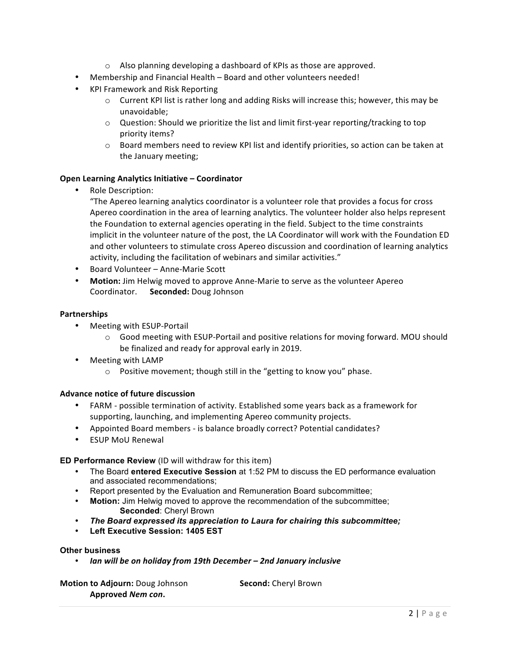- $\circ$  Also planning developing a dashboard of KPIs as those are approved.
- Membership and Financial Health Board and other volunteers needed!
- KPI Framework and Risk Reporting
	- $\circ$  Current KPI list is rather long and adding Risks will increase this; however, this may be unavoidable;
	- $\circ$  Question: Should we prioritize the list and limit first-year reporting/tracking to top priority items?
	- $\circ$  Board members need to review KPI list and identify priorities, so action can be taken at the January meeting;

#### **Open Learning Analytics Initiative - Coordinator**

• Role Description:

"The Apereo learning analytics coordinator is a volunteer role that provides a focus for cross Apereo coordination in the area of learning analytics. The volunteer holder also helps represent the Foundation to external agencies operating in the field. Subject to the time constraints implicit in the volunteer nature of the post, the LA Coordinator will work with the Foundation ED and other volunteers to stimulate cross Apereo discussion and coordination of learning analytics activity, including the facilitation of webinars and similar activities."

- Board Volunteer Anne-Marie Scott
- Motion: Jim Helwig moved to approve Anne-Marie to serve as the volunteer Apereo Coordinator. **Seconded:** Doug Johnson

#### **Partnerships**

- Meeting with ESUP-Portail
	- $\circ$  Good meeting with ESUP-Portail and positive relations for moving forward. MOU should be finalized and ready for approval early in 2019.
- Meeting with LAMP
	- $\circ$  Positive movement; though still in the "getting to know you" phase.

#### **Advance notice of future discussion**

- FARM possible termination of activity. Established some years back as a framework for supporting, launching, and implementing Apereo community projects.
- Appointed Board members is balance broadly correct? Potential candidates?
- ESUP MoU Renewal

#### **ED Performance Review** (ID will withdraw for this item)

- The Board **entered Executive Session** at 1:52 PM to discuss the ED performance evaluation and associated recommendations;
- Report presented by the Evaluation and Remuneration Board subcommittee;
- **Motion:** Jim Helwig moved to approve the recommendation of the subcommittee; **Seconded**: Cheryl Brown
- *The Board expressed its appreciation to Laura for chairing this subcommittee;*
- **Left Executive Session: 1405 EST**

#### **Other business**

• *Ian will be on holiday from 19th December – 2nd January inclusive*

**Motion to Adjourn:** Doug Johnson **Second:** Cheryl Brown **Approved** *Nem con***.**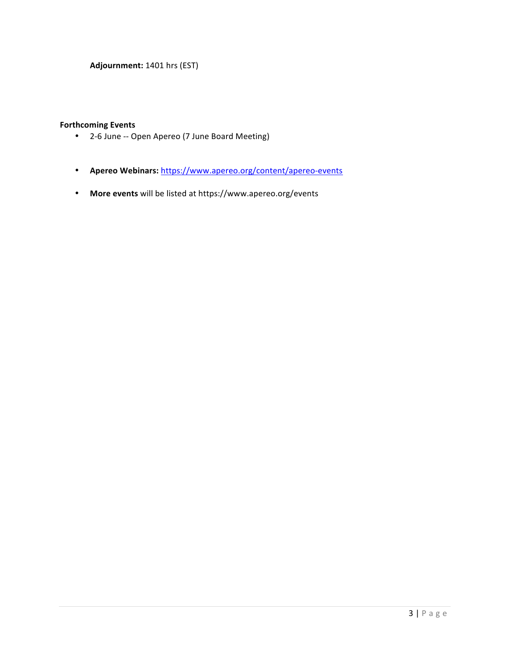**Adjournment:** 1401 hrs (EST)

### **Forthcoming Events**

- 2-6 June -- Open Apereo (7 June Board Meeting)
- **Apereo Webinars:** https://www.apereo.org/content/apereo-events
- More events will be listed at https://www.apereo.org/events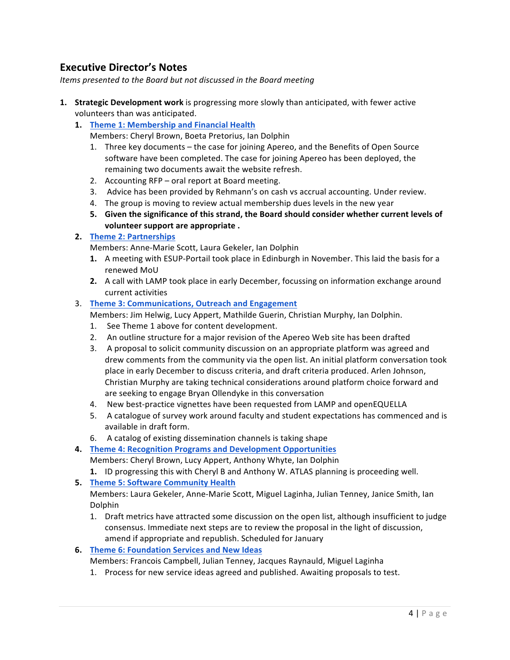## **Executive Director's Notes**

*Items presented to the Board but not discussed in the Board meeting* 

- **1. Strategic Development work** is progressing more slowly than anticipated, with fewer active volunteers than was anticipated.
	- 1. **Theme 1: Membership and Financial Health** 
		- Members: Cheryl Brown, Boeta Pretorius, Ian Dolphin
		- 1. Three key documents the case for joining Apereo, and the Benefits of Open Source software have been completed. The case for joining Apereo has been deployed, the remaining two documents await the website refresh.
		- 2. Accounting  $RFP$  oral report at Board meeting.
		- 3. Advice has been provided by Rehmann's on cash vs accrual accounting. Under review.
		- 4. The group is moving to review actual membership dues levels in the new year
		- 5. Given the significance of this strand, the Board should consider whether current levels of volunteer support are appropriate .

### **2. Theme 2: Partnerships**

Members: Anne-Marie Scott, Laura Gekeler, Ian Dolphin

- **1.** A meeting with ESUP-Portail took place in Edinburgh in November. This laid the basis for a renewed MoU
- **2.** A call with LAMP took place in early December, focussing on information exchange around current activities
- 3. **Theme 3: Communications, Outreach and Engagement** 
	- Members: Jim Helwig, Lucy Appert, Mathilde Guerin, Christian Murphy, Ian Dolphin.
	- 1. See Theme 1 above for content development.
	- 2. An outline structure for a major revision of the Apereo Web site has been drafted
	- 3. A proposal to solicit community discussion on an appropriate platform was agreed and drew comments from the community via the open list. An initial platform conversation took place in early December to discuss criteria, and draft criteria produced. Arlen Johnson, Christian Murphy are taking technical considerations around platform choice forward and are seeking to engage Bryan Ollendyke in this conversation
	- 4. New best-practice vignettes have been requested from LAMP and openEQUELLA
	- 5. A catalogue of survey work around faculty and student expectations has commenced and is available in draft form.
	- 6. A catalog of existing dissemination channels is taking shape
- **4. Theme 4: Recognition Programs and Development Opportunities**

Members: Cheryl Brown, Lucy Appert, Anthony Whyte, Ian Dolphin

- **1.** ID progressing this with Cheryl B and Anthony W. ATLAS planning is proceeding well.
- **5. Theme 5: Software Community Health**

Members: Laura Gekeler, Anne-Marie Scott, Miguel Laginha, Julian Tenney, Janice Smith, Ian Dolphin

- 1. Draft metrics have attracted some discussion on the open list, although insufficient to judge consensus. Immediate next steps are to review the proposal in the light of discussion, amend if appropriate and republish. Scheduled for January
- **6. Theme 6: Foundation Services and New Ideas** 
	- Members: Francois Campbell, Julian Tenney, Jacques Raynauld, Miguel Laginha
	- 1. Process for new service ideas agreed and published. Awaiting proposals to test.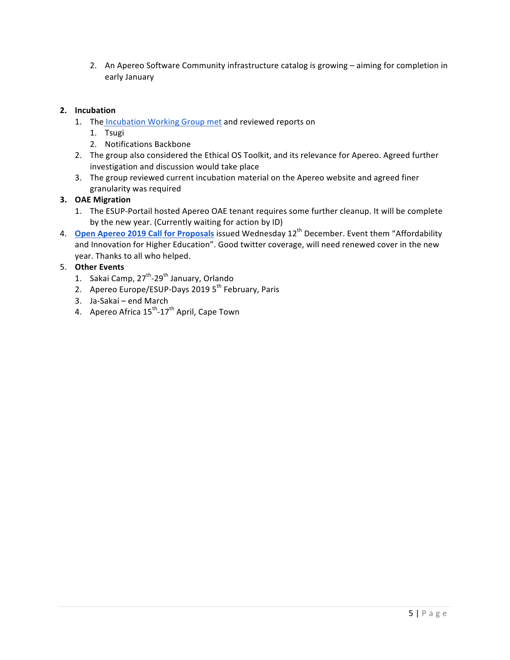2. An Apereo Software Community infrastructure catalog is growing – aiming for completion in early January

### **2. Incubation**

- 1. The Incubation Working Group met and reviewed reports on
	- 1. Tsugi
	- 2. Notifications Backbone
- 2. The group also considered the Ethical OS Toolkit, and its relevance for Apereo. Agreed further investigation and discussion would take place
- 3. The group reviewed current incubation material on the Apereo website and agreed finer granularity was required

### **3. OAE Migration**

- 1. The ESUP-Portail hosted Apereo OAE tenant requires some further cleanup. It will be complete by the new year. (Currently waiting for action by ID)
- 4. **Open Apereo 2019 Call for Proposals** issued Wednesday 12<sup>th</sup> December. Event them "Affordability and Innovation for Higher Education". Good twitter coverage, will need renewed cover in the new year. Thanks to all who helped.

### 5. **Other Events**

- 1. Sakai Camp, 27<sup>th</sup>-29<sup>th</sup> January, Orlando
- 2. Apereo Europe/ESUP-Days 2019 5<sup>th</sup> February, Paris
- 3. Ja-Sakai end March
- 4. Apereo Africa 15<sup>th</sup>-17<sup>th</sup> April, Cape Town